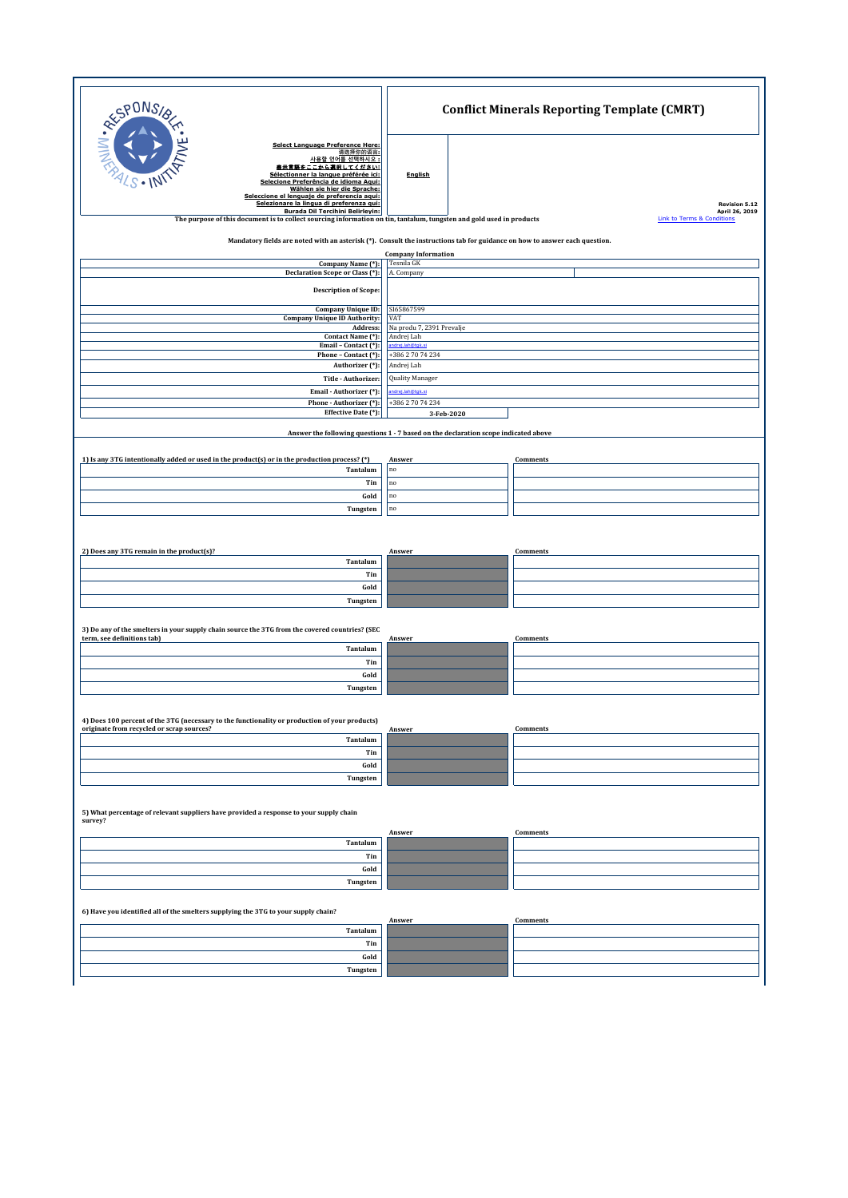| SPONS,<br>NIM.AR<br><b>Select Language Preference Here:</b><br>请选择你的语言:<br>사용할 언어를 선택하시오 :<br>表示言語をここから選択してください:<br>Sélectionner la langue préférée ici:<br>$\mathbb{S} \cdot \mathbb{N}$<br>Selecione Preferência de idioma Aqui:<br>Wählen sie hier die Sprache:<br>Seleccione el lenguaje de preferencia aqui:<br>Selezionare la lingua di preferenza qui:<br>Burada Dil Tercihini Belirleyin: | <b>Conflict Minerals Reporting Template (CMRT)</b>                                                                                                                                                                        |  |  |  |  |
|---------------------------------------------------------------------------------------------------------------------------------------------------------------------------------------------------------------------------------------------------------------------------------------------------------------------------------------------------------------------------------------------------|---------------------------------------------------------------------------------------------------------------------------------------------------------------------------------------------------------------------------|--|--|--|--|
|                                                                                                                                                                                                                                                                                                                                                                                                   | <b>English</b><br><b>Revision 5.12</b><br>April 26, 2019<br>The purpose of this document is to collect sourcing information on tin, tantalum, tungsten and gold used in products<br><b>Link to Terms &amp; Conditions</b> |  |  |  |  |
| Mandatory fields are noted with an asterisk (*). Consult the instructions tab for guidance on how to answer each question.                                                                                                                                                                                                                                                                        |                                                                                                                                                                                                                           |  |  |  |  |
| Company Name (*):                                                                                                                                                                                                                                                                                                                                                                                 | <b>Company Information</b><br>Tesnila GK                                                                                                                                                                                  |  |  |  |  |
| Declaration Scope or Class (*):                                                                                                                                                                                                                                                                                                                                                                   | A. Company                                                                                                                                                                                                                |  |  |  |  |
| <b>Description of Scope:</b>                                                                                                                                                                                                                                                                                                                                                                      |                                                                                                                                                                                                                           |  |  |  |  |
| Company Unique ID:                                                                                                                                                                                                                                                                                                                                                                                | SI65867599                                                                                                                                                                                                                |  |  |  |  |
| <b>Company Unique ID Authority:</b><br>Address:                                                                                                                                                                                                                                                                                                                                                   | VAT<br>Na produ 7, 2391 Prevalje                                                                                                                                                                                          |  |  |  |  |
| Contact Name (*):<br>Email - Contact (*):                                                                                                                                                                                                                                                                                                                                                         | Andrej Lah<br>ndrei.lah@tok.si                                                                                                                                                                                            |  |  |  |  |
| Phone - Contact (*):                                                                                                                                                                                                                                                                                                                                                                              | +386 2 70 74 234                                                                                                                                                                                                          |  |  |  |  |
| Authorizer (*):<br>Title - Authorizer:                                                                                                                                                                                                                                                                                                                                                            | Andrej Lah<br>Quality Manager                                                                                                                                                                                             |  |  |  |  |
| Email - Authorizer (*):                                                                                                                                                                                                                                                                                                                                                                           | drej.lah@tgk.si                                                                                                                                                                                                           |  |  |  |  |
| Phone - Authorizer (*):<br>Effective Date (*):                                                                                                                                                                                                                                                                                                                                                    | +386 2 70 74 234                                                                                                                                                                                                          |  |  |  |  |
|                                                                                                                                                                                                                                                                                                                                                                                                   | 3-Feb-2020<br>Answer the following questions 1 - 7 based on the declaration scope indicated above                                                                                                                         |  |  |  |  |
|                                                                                                                                                                                                                                                                                                                                                                                                   |                                                                                                                                                                                                                           |  |  |  |  |
| 1) Is any 3TG intentionally added or used in the product(s) or in the production process? (*)<br>Tantalum                                                                                                                                                                                                                                                                                         | Answer<br>Comments<br>$\mathbf{n}\mathbf{o}$                                                                                                                                                                              |  |  |  |  |
| Tin                                                                                                                                                                                                                                                                                                                                                                                               | no                                                                                                                                                                                                                        |  |  |  |  |
| Gold                                                                                                                                                                                                                                                                                                                                                                                              | no                                                                                                                                                                                                                        |  |  |  |  |
| Tungsten                                                                                                                                                                                                                                                                                                                                                                                          | no                                                                                                                                                                                                                        |  |  |  |  |
|                                                                                                                                                                                                                                                                                                                                                                                                   |                                                                                                                                                                                                                           |  |  |  |  |
| 2) Does any 3TG remain in the product(s)?                                                                                                                                                                                                                                                                                                                                                         | Comments<br>Answer                                                                                                                                                                                                        |  |  |  |  |
| Tantalum                                                                                                                                                                                                                                                                                                                                                                                          |                                                                                                                                                                                                                           |  |  |  |  |
| Tin                                                                                                                                                                                                                                                                                                                                                                                               |                                                                                                                                                                                                                           |  |  |  |  |
| Gold<br>Tungsten                                                                                                                                                                                                                                                                                                                                                                                  |                                                                                                                                                                                                                           |  |  |  |  |
|                                                                                                                                                                                                                                                                                                                                                                                                   |                                                                                                                                                                                                                           |  |  |  |  |
| 3) Do any of the smelters in your supply chain source the 3TG from the covered countries? (SEC                                                                                                                                                                                                                                                                                                    |                                                                                                                                                                                                                           |  |  |  |  |
| term, see definitions tab)<br>Tantalum                                                                                                                                                                                                                                                                                                                                                            | Answer<br>Comments                                                                                                                                                                                                        |  |  |  |  |
| Tin                                                                                                                                                                                                                                                                                                                                                                                               |                                                                                                                                                                                                                           |  |  |  |  |
| Gold                                                                                                                                                                                                                                                                                                                                                                                              |                                                                                                                                                                                                                           |  |  |  |  |
| Tungsten                                                                                                                                                                                                                                                                                                                                                                                          |                                                                                                                                                                                                                           |  |  |  |  |
| 4) Does 100 percent of the 3TG (necessary to the functionality or production of your products)                                                                                                                                                                                                                                                                                                    |                                                                                                                                                                                                                           |  |  |  |  |
| originate from recycled or scrap sources?                                                                                                                                                                                                                                                                                                                                                         | Answer<br>Comments                                                                                                                                                                                                        |  |  |  |  |
| Tantalum<br>Tin                                                                                                                                                                                                                                                                                                                                                                                   |                                                                                                                                                                                                                           |  |  |  |  |
| Gold                                                                                                                                                                                                                                                                                                                                                                                              |                                                                                                                                                                                                                           |  |  |  |  |
| Tungsten                                                                                                                                                                                                                                                                                                                                                                                          |                                                                                                                                                                                                                           |  |  |  |  |
| 5) What percentage of relevant suppliers have provided a response to your supply chain<br>survey?                                                                                                                                                                                                                                                                                                 |                                                                                                                                                                                                                           |  |  |  |  |
| Tantalum                                                                                                                                                                                                                                                                                                                                                                                          | Answer<br>Comments                                                                                                                                                                                                        |  |  |  |  |
| Tin                                                                                                                                                                                                                                                                                                                                                                                               |                                                                                                                                                                                                                           |  |  |  |  |
| Gold                                                                                                                                                                                                                                                                                                                                                                                              |                                                                                                                                                                                                                           |  |  |  |  |
| Tungsten                                                                                                                                                                                                                                                                                                                                                                                          |                                                                                                                                                                                                                           |  |  |  |  |
| 6) Have you identified all of the smelters supplying the 3TG to your supply chain?                                                                                                                                                                                                                                                                                                                |                                                                                                                                                                                                                           |  |  |  |  |
| Tantalum                                                                                                                                                                                                                                                                                                                                                                                          | Answer<br>Comments                                                                                                                                                                                                        |  |  |  |  |
| Tin                                                                                                                                                                                                                                                                                                                                                                                               |                                                                                                                                                                                                                           |  |  |  |  |
| Gold                                                                                                                                                                                                                                                                                                                                                                                              |                                                                                                                                                                                                                           |  |  |  |  |
| Tungsten                                                                                                                                                                                                                                                                                                                                                                                          |                                                                                                                                                                                                                           |  |  |  |  |

٦